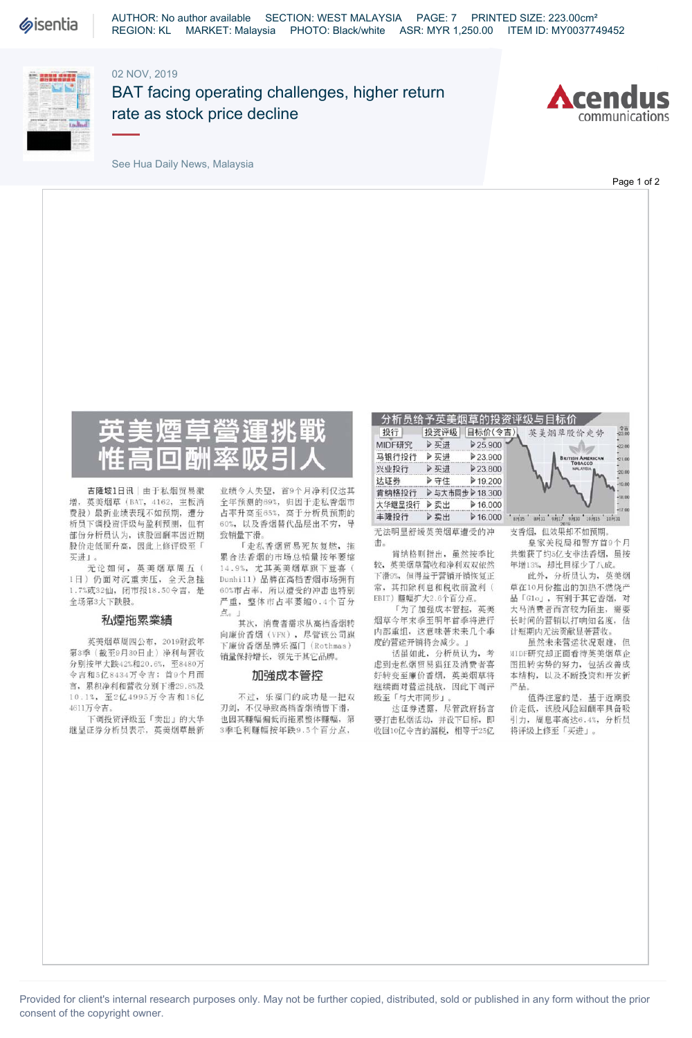

## 02 NOV, 2019



BAT facing operating challenges, higher return rate as stock price decline



See Hua Daily News, Malaysia

Page 1 of 2



吉隆坡1日讯 | 由于私烟贸易激 增,英美烟草(BAT, 4162,主板消 费股)最新业绩表现不如预期,遭分 析员下调投资评级与盈利预测,但有 部份分析员认为,该股回酬率因近期 股价走低而升高,因此上修评级至「 买进」。

无论如何,英美烟草周五( 1日)仍面对沉重卖压,全天急挫 1.7%或32仙,闭市报18.50令吉,是 全场第3大下跌股。

### 私煙拖累業績

英美烟草周四公布,2019财政年 第3季(截至9月3〇日止)净利与营收 分别按年大跌42%和20.6%,至8480万 令吉和5亿8434万令吉;首9个月而 言,累积净利和营收分别下滑29.8%及 10. <sup>U</sup>,至2亿4995万令吉和18亿 4611万令吉。

下调投资评级至「卖出」的大华 继显证券分析员表示,英美烟草最新

业绩令人失望,首9个月净利仅达其 全年预测的69%,归因于走私香烟市 占率升高至65%,高于分析员预期的 60%,以及香烟替代品层出不穷,导 致销量下滑。

「走私香烟贸易死灰复燃, 拖 累合法香烟的市场总销量按年萎缩 14.9%,尤其英美烟草旗下登喜( Dimhill)品牌在高档香烟市场拥有 60%市占率,所以遭受的冲击也特别 严重,整体市占率萎缩0.4个百分 点。」

其次,消费者需求从高档香烟转 向廉价香烟(VFM),尽管该公司旗 下廉价香烟品牌乐福门(Rothmas) 销量保持增长,领先于其它品牌。

### 加強成本管控

不过,乐福门的成功是一把双 刃剑,不仅导致高档香烟销售下滑, 也因其赚幅偏低而拖累整体赚幅,第 3季毛利赚幅按年跌9.5个百分点,

分析员给予英美烟草的投资评级与目标价<br><mark>投行 投资评级 目标价(令吉)</mark> 英美烟草股价走势 <u>MIDF研究 ▶买进 ▶25.900</u> **●** 

| MIDF研究 | ▶买进            | 25.900                  |                 | 惡    |
|--------|----------------|-------------------------|-----------------|------|
| 马银行投行  | ▶买讲            | ▶23.900                 | <b>AMERICAN</b> |      |
| 兴业投行   | ▶买进            | 23.800                  | TORACCO         |      |
| 达证券    | ▶守住            | $\triangleright$ 19.200 |                 |      |
| 肯纳格投行  | ▶与大市同步 ▶18.300 |                         |                 |      |
| 大华继显投行 | ▶卖出            | $\triangleright$ 16.000 |                 |      |
| 丰隆投行   | ▶卖出            | 216.000                 |                 | F131 |
|        |                |                         |                 |      |

无法明显舒缓英美烟草遭受的冲 击。

肯纳格则指出,虽然按季比 较,英美烟草营收和净利双双依然 下滑9%,但得益于营销开销恢复正 常, 其扣除利息和税收前盈利(<br>EBIT) 赚幅扩大2.6个百分点。

「为了加强成本管控,英美 烟草今年末季至明年首季将进行 内部重组,这意味著未来几个季 度的营运开销将会减少。」

话虽如此,分析员认为,考 虑到走私烟贸易猖狂及消费者喜 好转变至廉价香烟,英美烟草将 继续面对营运挑战,因此下调评 级至「与大市同步」。

达证券透露,尽管政府扬言 要打击私烟活动,并设下目标,即 收回 〇亿令吉的漏税,相等于25亿



支香烟,但效果却不如预期。

皇家关税局和警方首9个月 共缴获了约5亿支非法香烟,虽按 年增13%,却比目标少了八成。

此外,分析员认为,英美烟 草在10月份推出的加热不燃烧产 品「Glo」,有别于其它香烟,对 大马消费者而言较为陌生,需要 长时间的营销以打响知名度,估 计短期内无法贡献显著营收。

虽然未来营运状况艰难,但 MIDF研究却正面看待英美烟草企 图扭转劣势的努力,包括改善成 本结构,以及不断投资和开发新 产品。

值得注意的是,基于近期股 价走低,该股风险回酬率具备吸 引力,周息率高达6.4%,分析员 将评级上修至「买进」。

Provided for client's internal research purposes only. May not be further copied, distributed, sold or published in any form without the prior consent of the copyright owner.